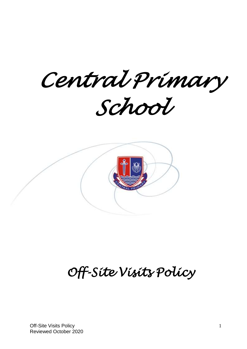*Central Primary School* 



# *Off-Site Visits Policy*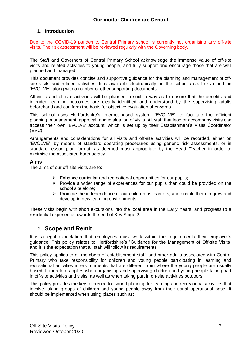## **1. Introduction**

Due to the COVID-19 pandemic, Central Primary school is currently not organising any off-site visits. The risk assessment will be reviewed regularly with the Governing body.

The Staff and Governors of Central Primary School acknowledge the immense value of off-site visits and related activities to young people, and fully support and encourage those that are well planned and managed.

This document provides concise and supportive guidance for the planning and management of offsite visits and related activities. It is available electronically on the school's staff drive and on 'EVOLVE', along with a number of other supporting documents.

All visits and off-site activities will be planned in such a way as to ensure that the benefits and intended learning outcomes are clearly identified and understood by the supervising adults beforehand and can form the basis for objective evaluation afterwards.

This school uses Hertfordshire's Internet-based system, 'EVOLVE', to facilitate the efficient planning, management, approval, and evaluation of visits. All staff that lead or accompany visits can access their own 'EVOLVE' account, which is set up by their Establishment's Visits Coordinator (EVC).

Arrangements and considerations for all visits and off-site activities will be recorded, either on 'EVOLVE', by means of standard operating procedures using generic risk assessments, or in standard lesson plan format, as deemed most appropriate by the Head Teacher in order to minimise the associated bureaucracy.

#### **Aims**

The aims of our off-site visits are to:

- $\triangleright$  Enhance curricular and recreational opportunities for our pupils;
- $\triangleright$  Provide a wider range of experiences for our pupils than could be provided on the school site alone;
- $\triangleright$  Promote the independence of our children as learners, and enable them to grow and develop in new learning environments.

These visits begin with short excursions into the local area in the Early Years, and progress to a residential experience towards the end of Key Stage 2.

## 2. **Scope and Remit**

It is a legal expectation that employees must work within the requirements their employer's guidance. This policy relates to Hertfordshire's "Guidance for the Management of Off-site Visits" and it is the expectation that all staff will follow its requirements

This policy applies to all members of establishment staff, and other adults associated with Central Primary who take responsibility for children and young people participating in learning and recreational activities in environments that are different from where the young people are usually based. It therefore applies when organising and supervising children and young people taking part in off-site activities and visits, as well as when taking part in on-site activities outdoors.

This policy provides the key reference for sound planning for learning and recreational activities that involve taking groups of children and young people away from their usual operational base. It should be implemented when using places such as: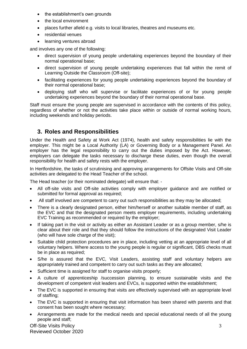- the establishment's own grounds
- the local environment
- places further afield e.g. visits to local libraries, theatres and museums etc.
- residential venues
- learning ventures abroad

and involves any one of the following:

- direct supervision of young people undertaking experiences beyond the boundary of their normal operational base;
- direct supervision of young people undertaking experiences that fall within the remit of Learning Outside the Classroom (Off-site);
- facilitating experiences for young people undertaking experiences beyond the boundary of their normal operational base;
- deploying staff who will supervise or facilitate experiences of or for young people undertaking experiences beyond the boundary of their normal operational base.

Staff must ensure the young people are supervised in accordance with the contents of this policy, regardless of whether or not the activities take place within or outside of normal working hours, including weekends and holiday periods.

# **3. Roles and Responsibilities**

Under the Health and Safety at Work Act (1974), health and safety responsibilities lie with the employer. This might be a Local Authority (LA) or Governing Body or a Management Panel. An employer has the legal responsibility to carry out the duties imposed by the Act. However, employers can delegate the tasks necessary to discharge these duties, even though the overall responsibility for health and safety rests with the employer.

In Hertfordshire, the tasks of scrutinising and approving arrangements for Offsite Visits and Off-site activities are delegated to the Head Teacher of the school.

The Head teacher (or their nominated delegate) will ensure that: -

- All off-site visits and Off-site activities comply with employer guidance and are notified or submitted for formal approval as required;
- All staff involved are competent to carry out such responsibilities as they may be allocated;
- There is a clearly designated person, either him/herself or another suitable member of staff, as the EVC and that the designated person meets employer requirements, including undertaking EVC Training as recommended or required by the employer;
- If taking part in the visit or activity as either an Assistant Leader or as a group member, s/he is clear about their role and that they should follow the instructions of the designated Visit Leader (who will have sole charge of the visit);
- Suitable child protection procedures are in place, including vetting at an appropriate level of all voluntary helpers. Where access to the young people is regular or significant, DBS checks must be in place as required;
- S/he is assured that the EVC, Visit Leaders, assisting staff and voluntary helpers are appropriately trained and competent to carry out such tasks as they are allocated;
- Sufficient time is assigned for staff to organise visits properly;
- A culture of apprenticeship /succession planning, to ensure sustainable visits and the development of competent visit leaders and EVCs, is supported within the establishment;
- The EVC is supported in ensuring that visits are effectively supervised with an appropriate level of staffing;
- The EVC is supported in ensuring that visit information has been shared with parents and that consent has been sought where necessary;
- Arrangements are made for the medical needs and special educational needs of all the young people and staff;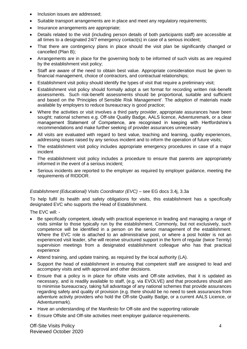- Inclusion issues are addressed;
- Suitable transport arrangements are in place and meet any regulatory requirements;
- Insurance arrangements are appropriate;
- Details related to the visit (including person details of both participants staff) are accessible at all times to a designated 24/7 emergency contact(s) in case of a serious incident;
- That there are contingency plans in place should the visit plan be significantly changed or cancelled (Plan B);
- Arrangements are in place for the governing body to be informed of such visits as are required by the establishment visit policy;
- Staff are aware of the need to obtain best value. Appropriate consideration must be given to financial management, choice of contractors, and contractual relationships;
- Establishment visit policy should identify the types of visit that require a preliminary visit;
- Establishment visit policy should formally adopt a set format for recording written risk-benefit assessments. Such risk-benefit assessments should be proportional, suitable and sufficient and based on the 'Principles of Sensible Risk Management'. The adoption of materials made available by employers to reduce bureaucracy is good practice;
- Where the activities or visit involves a third party provider, appropriate assurances have been sought; national schemes e.g. Off-site Quality Badge, AALS licence, Adventuremark, or a clear management Statement of Competence, are recognised in keeping with Hertfordshire's recommendations and make further seeking of provider assurances unnecessary
- All visits are evaluated with regard to best value, teaching and learning, quality experiences, addressing issues raised by any serious incident and to inform the operation of future visits;
- The establishment visit policy includes appropriate emergency procedures in case of a major incident
- The establishment visit policy includes a procedure to ensure that parents are appropriately informed in the event of a serious incident;
- Serious incidents are reported to the employer as required by employer guidance, meeting the requirements of RIDDOR.

## *Establishment (Educational) Visits Coordinator (EVC)* – see EG docs 3.4j, 3.3a

To help fulfil its health and safety obligations for visits, this establishment has a specifically designated EVC who supports the Head of Establishment.

The EVC will: -

- Be specifically competent, ideally with practical experience in leading and managing a range of visits similar to those typically run by the establishment. Commonly, but not exclusively, such competence will be identified in a person on the senior management of the establishment. Where the EVC role is attached to an administrative post, or where a post holder is not an experienced visit leader, s/he will receive structured support in the form of regular (twice Termly) supervision meetings from a designated establishment colleague who has that practical experience
- Attend training, and update training, as required by the local authority (LA).
- Support the head of establishment in ensuring that competent staff are assigned to lead and accompany visits and with approval and other decisions.
- Ensure that a policy is in place for offsite visits and Off-site activities, that it is updated as necessary, and is readily available to staff, (e.g. via EVOLVE) and that procedures should aim to minimise bureaucracy, taking full advantage of any national schemes that provide assurances regarding safety and quality of provision (e.g. there should be no need to seek assurances from adventure activity providers who hold the Off-site Quality Badge, or a current AALS Licence, or Adventuremark).
- Have an understanding of the Manifesto for Off-site and the supporting rationale
- Ensure Offsite and Off-site activities meet employer guidance requirements.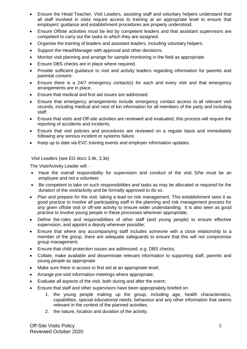- Ensure the Head Teacher, Visit Leaders, assisting staff and voluntary helpers understand that all staff involved in visits require access to training at an appropriate level to ensure that employers' guidance and establishment procedures are properly understood.
- Ensure Offsite activities must be led by competent leaders and that assistant supervisors are competent to carry out the tasks to which they are assigned.
- Organise the training of leaders and assistant leaders, including voluntary helpers.
- Support the Head/Manager with approval and other decisions.
- Monitor visit planning and arrange for sample monitoring in the field as appropriate.
- Ensure DBS checks are in place where required.
- Provide sufficient guidance to visit and activity leaders regarding information for parents and parental consent.
- Ensure there is a 24/7 emergency contact(s) for each and every visit and that emergency arrangements are in place.
- Ensure that medical and first aid issues are addressed.
- Ensure that emergency arrangements include emergency contact access to all relevant visit records, including medical and next of kin information for all members of the party and including staff.
- Ensure that visits and Off-site activities are reviewed and evaluated; this process will require the reporting of accidents and incidents.
- Ensure that visit policies and procedures are reviewed on a regular basis and immediately following any serious incident or systems failure.
- Keep up to date via EVC training events and employer information updates.

*Visit Leaders* (see EG docs 3.4k, 3.3e)

The Visit/Activity Leader will: -

- Have the overall responsibility for supervision and conduct of the visit. S/he must be an employee and not a volunteer.
- Be competent to take on such responsibilities and tasks as may be allocated or required for the duration of the visit/activity and be formally approved to do so.
- Plan and prepare for the visit, taking a lead on risk management. This establishment sees it as good practice to involve all participating staff in the planning and risk management process for any given offsite visit or off-site activity to ensure wider understanding. It is also seen as good practice to involve young people in these processes wherever appropriate;
- Define the roles and responsibilities of other staff (and young people) to ensure effective supervision, and appoint a deputy wherever possible;
- Ensure that where any accompanying staff includes someone with a close relationship to a member of the group, there are adequate safeguards to ensure that this will not compromise group management;
- Ensure that child protection issues are addressed. e.g. DBS checks;
- Collate, make available and disseminate relevant information to supporting staff, parents and young people as appropriate
- Make sure there is access to first aid at an appropriate level:
- Arrange pre-visit information meetings where appropriate;
- Evaluate all aspects of the visit, both during and after the event;
- Ensure that staff and other supervisors have been appropriately briefed on:
	- 1. the young people making up the group, including age, health characteristics, capabilities, special educational needs, behaviour and any other information that seems relevant in the context of the planned activities.
	- 2. the nature, location and duration of the activity.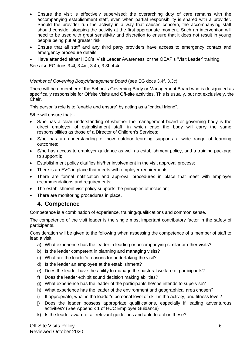- Ensure the visit is effectively supervised; the overarching duty of care remains with the accompanying establishment staff, even when partial responsibility is shared with a provider. Should the provider run the activity in a way that causes concern, the accompanying staff should consider stopping the activity at the first appropriate moment. Such an intervention will need to be used with great sensitivity and discretion to ensure that it does not result in young people being put at greater risk;
- Ensure that all staff and any third party providers have access to emergency contact and emergency procedure details.
- Have attended either HCC's 'Visit Leader Awareness' or the OEAP's 'Visit Leader' training.

See also EG docs 3.4l, 3.4m, 3.4n, 3.3f, 4.4d

## *Member of Governing Body/Management Board* (see EG docs 3.4f, 3.3c)

There will be a member of the School's Governing Body or Management Board who is designated as specifically responsible for Offsite Visits and Off-site activities. This is usually, but not exclusively, the Chair.

This person's role is to "enable and ensure" by acting as a "critical friend".

S/he will ensure that: -

- S/he has a clear understanding of whether the management board or governing body is the direct employer of establishment staff; in which case the body will carry the same responsibilities as those of a Director of Children's Services;
- S/he has an understanding of how outdoor learning supports a wide range of learning outcomes;
- S/he has access to employer guidance as well as establishment policy, and a training package to support it;
- Establishment policy clarifies his/her involvement in the visit approval process;
- There is an EVC in place that meets with employer requirements:
- There are formal notification and approval procedures in place that meet with employer recommendations and requirements;
- The establishment visit policy supports the principles of inclusion;
- There are monitoring procedures in place.

## **4. Competence**

Competence is a combination of experience, training/qualifications and common sense.

The competence of the visit leader is the single most important contributory factor in the safety of participants.

Consideration will be given to the following when assessing the competence of a member of staff to lead a visit:

- a) What experience has the leader in leading or accompanying similar or other visits?
- b) Is the leader competent in planning and managing visits?
- c) What are the leader's reasons for undertaking the visit?
- d) Is the leader an employee at the establishment?
- e) Does the leader have the ability to manage the pastoral welfare of participants?
- f) Does the leader exhibit sound decision making abilities?
- g) What experience has the leader of the participants he/she intends to supervise?
- h) What experience has the leader of the environment and geographical area chosen?
- i) If appropriate, what is the leader's personal level of skill in the activity, and fitness level?
- j) Does the leader possess appropriate qualifications, especially if leading adventurous activities? (See Appendix 1 of HCC Employer Guidance)
- k) Is the leader aware of all relevant guidelines and able to act on these?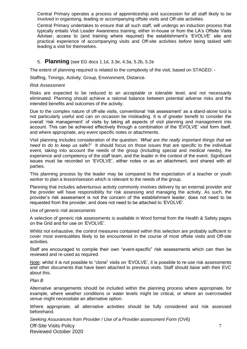Central Primary operates a process of apprenticeship and succession for all staff likely to be involved in organising, leading or accompanying offsite visits and Off-site activities.

Central Primary undertakes to ensure that all such staff, will undergo an induction process that typically entails Visit Leader Awareness training, either in-house or from the LA's Offsite Visits Adviser, access to (and training where required) the establishment's 'EVOLVE' site and practical experience of accompanying visits and Off-site activities *before* being tasked with leading a visit for themselves.

#### 5. **Planning** (see EG docs 1.1d, 3.3e, 4.3a, 5.2b, 5.2e

The extent of planning required is related to the complexity of the visit, based on STAGED: -

Staffing, Timings, Activity, Group, Environment, Distance.

#### *Risk Assessment*

Risks are expected to be reduced to an *acceptable* or *tolerable* level, and not necessarily eliminated. Planning should achieve a rational balance between potential adverse risks and the intended benefits and outcomes of the activity.

Due to the complex nature of off-site visits, conventional 'risk assessment' as a stand-alone tool is not particularly useful and can on occasion be misleading. It is of greater benefit to consider the overall 'risk management' of visits by taking all aspects of visit planning and management into account. This can be achieved effectively through a combination of the 'EVOLVE' visit form itself, and where appropriate, any event specific notes or attachments.

Visit planning includes consideration of the question: *'What are the really important things that we need to do to keep us safe?'* It should focus on those issues that are specific to the individual event, taking into account the needs of the group (including special and medical needs), the experience and competency of the staff team, and the leader in the context of the event. Significant issues must be recorded on 'EVOLVE', either notes or as an attachment, and shared with all parties.

This planning process by the leader may be compared to the expectation of a teacher or youth worker to plan a lesson/session which is relevant to the needs of the group.

Planning that includes adventurous activity commonly involves delivery by an external provider and the provider will have responsibility for risk assessing and managing the activity. As such, the provider's risk assessment is not the concern of the establishment leader, does not need to be requested from the provider, and does not need to be attached to 'EVOLVE'.

#### *Use of generic risk assessments*

A selection of generic risk assessments is available in Word format from the Health & Safety pages on the Grid and for use on 'EVOLVE'.

Whilst not exhaustive, the control measures contained within this selection are probably sufficient to cover most eventualities likely to be encountered in the course of most offsite visits and Off-site activities.

Staff are encouraged to compile their own "event-specific" risk assessments which can then be reviewed and re-used as required.

Note: whilst it is not possible to "clone" visits on 'EVOLVE', it is possible to re-use risk assessments and other documents that have been attached to previous visits. Staff should liaise with their EVC about this.

#### *Plan B*

Alternative arrangements should be included within the planning process where appropriate, for example, where weather conditions or water levels might be critical, or where an overcrowded venue might necessitate an alternative option.

Where appropriate, all alternative activities should be fully considered and risk assessed beforehand.

Off-Site Visits Policy Reviewed October 2020 *Seeking Assurances from Provider / Use of a Provider assessment Form (OV6)*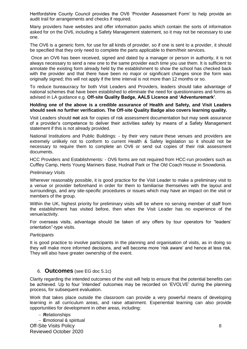Hertfordshire County Council provides the OV6 'Provider Assessment Form' to help provide an audit trail for arrangements and checks if required.

Many providers have websites and offer information packs which contain the sorts of information asked for on the OV6, including a Safety Management statement, so it may not be necessary to use one.

The OV6 is a generic form, for use for all kinds of provider, so if one is sent to a provider, it should be specified that they only need to complete the parts applicable to them/their services.

Once an OV6 has been received, signed and dated by a manager or person in authority, it is not always necessary to send a new one to the same provider each time you use them. It is sufficient to annotate the existing form already held by the establishment to show the school has checked back with the provider and that there have been no major or significant changes since the form was originally signed; this will not apply if the time interval is not more than 12 months or so.

To reduce bureaucracy for both Visit Leaders and Providers, leaders should take advantage of national schemes that have been established to eliminate the need for questionnaires and forms as advised in LA guidance e.g. **Off-site Quality Badge, AALS Licence and 'Adventuremark'**.

#### **Holding one of the above is a credible assurance of Health and Safety, and Visit Leaders should seek no further verification. The Off-site Quality Badge also covers learning quality.**

Visit Leaders should **not** ask for copies of risk assessment documentation but may seek assurance of a provider's competence to deliver their activities safely by means of a Safety Management statement if this is not already provided.

National Institutions and Public Buildings: - by their very nature these venues and providers are extremely unlikely not to conform to current Health & Safety legislation so it should not be necessary to require them to complete an OV6 or send out copies of their risk assessment documents.

HCC Providers and Establishments: - OV6 forms are not required from HCC-run providers such as Cuffley Camp, Herts Young Mariners Base, Hudnall Park or The Old Coach House in Snowdonia.

#### *Preliminary Visits*

Wherever reasonably possible, it is good practice for the Visit Leader to make a preliminary visit to a venue or provider beforehand in order for them to familiarise themselves with the layout and surroundings, and any site-specific procedures or issues which may have an impact on the visit or members of the group.

Within the UK, highest priority for preliminary visits will be where no serving member of staff from the establishment has visited before, then when the Visit Leader has no experience of the venue/activity.

For overseas visits, advantage should be taken of any offers by tour operators for "leaders' orientation"-type visits.

#### *Participants*

It is good practice to involve participants in the planning and organisation of visits, as in doing so they will make more informed decisions, and will become more 'risk aware' and hence at less risk. They will also have greater ownership of the event.

#### 6. **Outcomes** (see EG doc 5.1c)

Clarity regarding the intended outcomes of the visit will help to ensure that the potential benefits can be achieved. Up to four 'intended' outcomes may be recorded on 'EVOLVE' during the planning process, for subsequent evaluation.

Work that takes place outside the classroom can provide a very powerful means of developing learning in all curriculum areas, and raise attainment. Experiential learning can also provide opportunities for development in other areas, including:

#### **R**elationships

Off-Site Visits Policy Reviewed October 2020 **E**motional & spiritual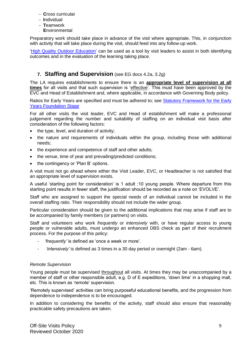- **C**ross curricular
- **I**ndividual
- **T**eamwork
- **E**nvironmental

Preparatory work should take place in advance of the visit where appropriate. This, in conjunction with activity that will take place during the visit, should feed into any follow-up work.

['High Quality Outdoor Education'](http://www.national-library.info/download.asp?fileid=483) can be used as a tool by visit leaders to assist in both identifying outcomes and in the evaluation of the learning taking place.

# **7. Staffing and Supervision** (see EG docs 4.2a, 3.2g)

The LA requires establishments to ensure there is an **appropriate level of supervision at all times** for all visits and that such supervision is 'effective'. This must have been approved by the EVC and Head of Establishment and, where applicable, in accordance with Governing Body policy.

Ratios for Early Years are specified and must be adhered to; see [Statutory Framework for the Early](http://www.national-library.info/download.asp?fileid=1273)  [Years Foundation Stage](http://www.national-library.info/download.asp?fileid=1273)

For all other visits the visit leader, EVC and Head of establishment will make a professional judgement regarding the number and suitability of staffing on an individual visit basis after consideration of the following factors:

- the type, level, and duration of activity;
- the nature and requirements of individuals within the group, including those with additional needs;
- the experience and competence of staff and other adults;
- the venue, time of year and prevailing/predicted conditions;
- the contingency or 'Plan B' options.

A visit must not go ahead where either the Visit Leader, EVC, or Headteacher is not satisfied that an appropriate level of supervision exists.

A useful 'starting point for consideration' is 1 adult :10 young people. Where departure from this starting point results in fewer staff, the justification should be recorded as a note on 'EVOLVE'.

Staff who are assigned to support the special needs of an individual cannot be included in the overall staffing ratio. Their responsibility should not include the wider group.

Particular consideration should be given to the additional implications that may arise if staff are to be accompanied by family members (or partners) on visits.

Staff and volunteers who work *frequently* or *intensively* with, or have regular access to young people or vulnerable adults, must undergo an enhanced DBS check as part of their recruitment process. For the purpose of this policy:

- *- 'frequently'* is defined as 'once a week or more'.
- *- 'intensively'* is defined as 3 times in a 30 day period or overnight (2am 6am).

#### *Remote Supervision*

Young people must be supervised throughout all visits. At times they may be unaccompanied by a member of staff or other responsible adult, e.g. D of E expeditions, 'down time' in a shopping mall, etc. This is known as 'remote' supervision.

'Remotely supervised' activities can bring purposeful educational benefits, and the progression from dependence to independence is to be encouraged.

In addition to considering the benefits of the activity, staff should also ensure that reasonably practicable safety precautions are taken.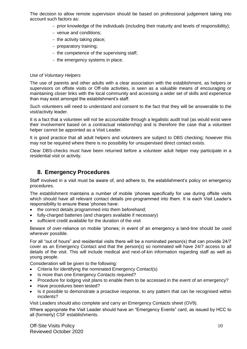The decision to allow remote supervision should be based on professional judgement taking into account such factors as:

- $-$  prior knowledge of the individuals (including their maturity and levels of responsibility);
- venue and conditions;
- $-$  the activity taking place;
- $-$  preparatory training;
- $-$  the competence of the supervising staff;
- $-$  the emergency systems in place.

#### *Use of Voluntary Helpers*

The use of parents and other adults with a clear association with the establishment, as helpers or supervisors on offsite visits or Off-site activities, is seen as a valuable means of encouraging or maintaining closer links with the local community and accessing a wider set of skills and experience than may exist amongst the establishment's staff.

Such volunteers will need to understand and consent to the fact that they will be answerable to the visit/activity leader.

It is a fact that a volunteer will not be accountable through a legalistic audit trail (as would exist were their involvement based on a contractual relationship) and is therefore the case that a volunteer helper cannot be appointed as a Visit Leader.

It is good practice that all adult helpers and volunteers are subject to DBS checking; however this may not be required where there is no possibility for unsupervised direct contact exists.

Clear DBS-checks must have been returned before a volunteer adult helper may participate in a residential visit or activity.

# **8. Emergency Procedures**

Staff involved in a visit must be aware of, and adhere to, the establishment's policy on emergency procedures.

The establishment maintains a number of mobile 'phones specifically for use during offsite visits which should have all relevant contact details pre-programmed into them. It is each Visit Leader's responsibility to ensure these 'phones have:

- the correct details programmed into them beforehand:
- fully-charged batteries (and chargers available if necessary)
- sufficient credit available for the duration of the visit

Beware of over-reliance on mobile 'phones; in event of an emergency a land-line should be used wherever possible.

For all "out of hours" and residential visits there will be a nominated person(s) that can provide 24/7 cover as an Emergency Contact and that the person(s) so nominated will have 24/7 access to all details of the visit. This will include medical and next-of-kin information regarding staff as well as young people.

Consideration will be given to the following:

- Criteria for identifying the nominated Emergency Contact(s)
- Is more than one Emergency Contacts required?
- Procedure for lodging visit plans to enable them to be accessed in the event of an emergency?
- Have procedures been tested?
- Is it possible to demonstrate a proactive response, to any pattern that can be recognised within incidents?

Visit Leaders should also complete and carry an Emergency Contacts sheet (OV9).

Where appropriate the Visit Leader should have an "Emergency Events" card, as issued by HCC to all (formerly) CSF establishments.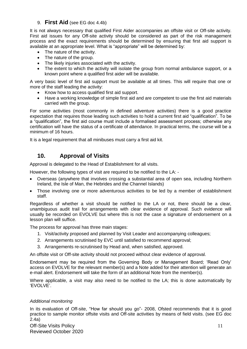## 9. **First Aid** (see EG doc 4.4b)

It is not always necessary that qualified First Aider accompanies an offsite visit or Off-site activity. First aid issues for any Off-site activity should be considered as part of the risk management process and the exact requirements should be determined by ensuring that first aid support is available at an appropriate level. What is "appropriate" will be determined by:

- The nature of the activity.
- The nature of the group.
- The likely injuries associated with the activity.
- The extent to which the activity will isolate the group from normal ambulance support, or a known point where a qualified first aider will be available.

A very basic level of first aid support must be available at all times. This will require that one or more of the staff leading the activity:

- Know how to access qualified first aid support.
- Have a working knowledge of simple first aid and are competent to use the first aid materials carried with the group.

For some activities (most commonly in defined adventure activities) there is a good practice expectation that requires those leading such activities to hold a current first aid "qualification". To be a "qualification", the first aid course must include a formalised assessment process; otherwise any certification will have the status of a certificate of attendance. In practical terms, the course will be a minimum of 16 hours.

It is a legal requirement that all minibuses must carry a first aid kit.

# **10. Approval of Visits**

Approval is delegated to the Head of Establishment for all visits.

However, the following types of visit are required to be notified to the LA: -

- Overseas (anywhere that involves crossing a substantial area of open sea, including Northern Ireland, the Isle of Man, the Hebrides and the Channel Islands)
- Those involving one or more adventurous activities to be led by a member of establishment staff.

Regardless of whether a visit should be notified to the LA or not, there should be a clear, unambiguous audit trail for arrangements with clear evidence of approval. Such evidence will usually be recorded on EVOLVE but where this is not the case a signature of endorsement on a lesson plan will suffice.

The process for approval has three main stages:

- 1. Visit/activity proposed and planned by Visit Leader and accompanying colleagues;
- 2. Arrangements scrutinised by EVC until satisfied to recommend approval;
- 3. Arrangements re-scrutinised by Head and, when satisfied, approved.

An offsite visit or Off-site activity should not proceed without clear evidence of approval.

Endorsement may be required from the Governing Body or Management Board; 'Read Only' access on EVOLVE for the relevant member(s) and a Note added for their attention will generate an e-mail alert. Endorsement will take the form of an additional Note from the member(s).

Where applicable, a visit may also need to be notified to the LA; this is done automatically by 'EVOLVE'.

#### *Additional monitoring*

In its evaluation of Off-site, "How far should you go"- 2008, Ofsted recommends that it is good practice to sample monitor offsite visits and Off-site activities by means of field visits. (see EG doc 2.4a)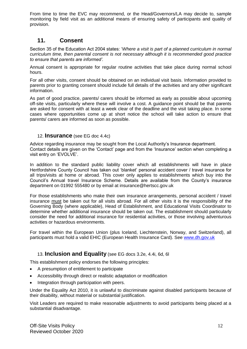From time to time the EVC may recommend, or the Head/Governors/LA may decide to, sample monitoring by field visit as an additional means of ensuring safety of participants and quality of provision.

# **11. Consent**

Section 35 of the Education Act 2004 states: '*Where a visit is part of a planned curriculum in normal curriculum time, then parental consent is not necessary although it is recommended good practice to ensure that parents are informed'.*

Annual consent is appropriate for regular routine activities that take place during normal school hours.

For all other visits, consent should be obtained on an individual visit basis. Information provided to parents prior to granting consent should include full details of the activities and any other significant information.

As part of good practice, parents/ carers should be informed as early as possible about upcoming off-site visits, particularly where these will involve a cost. A guidance point should be that parents are asked for consent with at least a week clear of the deadline and the visit taking place. In some cases where opportunities come up at short notice the school will take action to ensure that parents/ carers are informed as soon as possible.

## 12. **Insurance** (see EG doc 4.4c)

Advice regarding insurance may be sought from the Local Authority's Insurance department. Contact details are given on the 'Contact' page and from the 'Insurance' section when completing a visit entry on 'EVOLVE'.

In addition to the standard public liability cover which all establishments will have in place Hertfordshire County Council has taken out 'blanket' personal accident cover / travel insurance for all trips/visits at home or abroad. This cover only applies to establishments which buy into the Council's Annual travel Insurance Scheme. Details are available from the County's insurance department on 01992 555480 or by email at insurance@hertscc.gov.uk

For those establishments who make their own insurance arrangements, personal accident / travel insurance must be taken out for all visits abroad. For all other visits it is the responsibility of the Governing Body (where applicable), Head of Establishment, and Educational Visits Coordinator to determine whether additional insurance should be taken out. The establishment should particularly consider the need for additional insurance for residential activities, or those involving adventurous activities or hazardous environments.

For travel within the European Union (plus Iceland, Liechtenstein, Norway, and Switzerland), all participants must hold a valid EHIC (European Health Insurance Card). See [www.dh.gov.uk](http://www.dh.gov.uk/)

## 13. **Inclusion and Equality** (see EG docs 3.2e, 4.4i, 6d, 6l

This establishment policy endorses the following principles:

- A presumption of entitlement to participate
- Accessibility through direct or realistic adaptation or modification
- Integration through participation with peers.

Under the Equality Act 2010, it is unlawful to discriminate against disabled participants because of their disability, without material or substantial justification.

Visit Leaders are required to make reasonable adjustments to avoid participants being placed at a substantial disadvantage.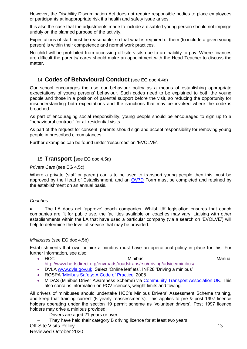However, the Disability Discrimination Act does not require responsible bodies to place employees or participants at inappropriate risk if a health and safety issue arises.

It is also the case that the adjustments made to include a disabled young person should not impinge unduly on the planned purpose of the activity.

Expectations of staff must be reasonable, so that what is required of them (to include a given young person) is within their competence and normal work practices.

No child will be prohibited from accessing off-site visits due to an inability to pay. Where finances are difficult the parents/ cares should make an appointment with the Head Teacher to discuss the matter.

## 14. **Codes of Behavioural Conduct** (see EG doc 4.4d)

Our school encourages the use our behaviour policy as a means of establishing appropriate expectations of young persons' behaviour. Such codes need to be explained to both the young people and those in a position of parental support before the visit, so reducing the opportunity for misunderstanding both expectations and the sanctions that may be invoked where the code is breached.

As part of encouraging social responsibility, young people should be encouraged to sign up to a "behavioural contract" for all residential visits

As part of the request for consent, parents should sign and accept responsibility for removing young people in prescribed circumstances.

Further examples can be found under 'resources' on 'EVOLVE'.

## 15. **Transport (**see EG doc 4.5a)

#### *Private Cars* (see EG 4.5c)

Where a private (staff or parent) car is to be used to transport young people then this must be approved by the Head of Establishment, and an [OV7D](file://///NWC-CHAMNT/CHAMNT/HERTFORD01/CSERV/PEOPLE%20PROP/sermu/DATA/Sharedir/SDRIVE/Health%20%20&%20Safety/EPAS/OFFSITE%20VISITS/Offsite%20Visits%20Manual/Offsite%20Visits%20Manual%20Revision%203%20-%20Nov%2006/CSF4261%20FORM%20OV%207D%20rev%201106.doc) Form must be completed and retained by the establishment on an annual basis.

#### *Coaches*

 The LA does not 'approve' coach companies. Whilst UK legislation ensures that coach companies are fit for public use, the facilities available on coaches may vary. Liaising with other establishments within the LA that have used a particular company (via a search on 'EVOLVE') will help to determine the level of service that may be provided.

#### *Minibuses* (see EG doc 4.5b)

Establishments that own or hire a minibus must have an operational policy in place for this. For further information, see also:

- HCC Minibus Minibus Municipal Manual <http://www.hertsdirect.org/envroads/roadstrans/rsu/driving/advice/minibus/>
- DVLA [www.dvla.gov.uk](http://www.dvla.gov.uk/) Select 'Online leaflets', INF28 'Driving a minibus'
- ROSPA ['Minibus Safety: A Code of Practice'](http://www.national-library.info/download.asp?fileid=573) 2008
- MiDAS (Minibus Driver Awareness Scheme) via [Community Transport Association UK.](http://www.ctauk.org/advice-and-information/safe-and-legal-education.aspx) This also contains information on PCV licences, weight limits and towing.

All drivers of minibuses should undertake HCC's Minibus Drivers' Assessment Scheme training, and keep that training current (5 yearly reassessments). This applies to pre & post 1997 licence holders operating under the section 19 permit scheme as 'volunteer drivers'. Post 1997 licence holders may drive a minibus provided:

- Drivers are aged 21 years or over.
- They have held their category B driving licence for at least two years.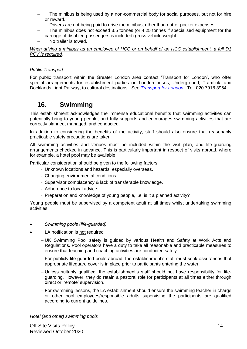- The minibus is being used by a non-commercial body for social purposes, but not for hire or reward.
- Drivers are not being paid to drive the minibus, other than out-of-pocket expenses.
- The minibus does not exceed 3.5 tonnes (or 4.25 tonnes if specialised equipment for the carriage of disabled passengers is included) gross vehicle weight.
- No trailer is towed.

*When driving a minibus as an employee of HCC or on behalf of an HCC establishment, a full D1 PCV is required.*

#### *Public Transport*

For public transport within the Greater London area contact 'Transport for London', who offer special arrangements for establishment parties on London buses, Underground, Tramlink, and Docklands Light Railway, to cultural destinations. See *[Transport for London](http://tfl.gov.uk/tickets/14311.aspx)* Tel. 020 7918 3954.

# **16. Swimming**

This establishment acknowledges the immense educational benefits that swimming activities can potentially bring to young people, and fully supports and encourages swimming activities that are correctly planned, managed, and conducted.

In addition to considering the benefits of the activity, staff should also ensure that reasonably practicable safety precautions are taken.

All swimming activities and venues must be included within the visit plan, and life-guarding arrangements checked in advance. This is particularly important in respect of visits abroad, where for example, a hotel pool may be available.

Particular consideration should be given to the following factors:

- Unknown locations and hazards, especially overseas.
- Changing environmental conditions.
- Supervisor complacency & lack of transferable knowledge.
- Adherence to local advice.
- Preparation and knowledge of young people, i.e. is it a planned activity?

Young people must be supervised by a competent adult at all times whilst undertaking swimming activities.

- *Swimming pools (life-guarded)*
- LA notification is not required
	- UK Swimming Pool safety is guided by various Health and Safety at Work Acts and Regulations. Pool operators have a duty to take all reasonable and practicable measures to ensure that teaching and coaching activities are conducted safely.
	- For publicly life-guarded pools abroad, the establishment's staff must seek assurances that appropriate lifeguard cover is in place prior to participants entering the water.
	- Unless suitably qualified, the establishment's staff should not have responsibility for lifeguarding. However, they do retain a pastoral role for participants at all times either through direct or 'remote' supervision.
	- For swimming lessons, the LA establishment should ensure the swimming teacher in charge or other pool employees/responsible adults supervising the participants are qualified according to current guidelines.

*Hotel (and other) swimming pools*